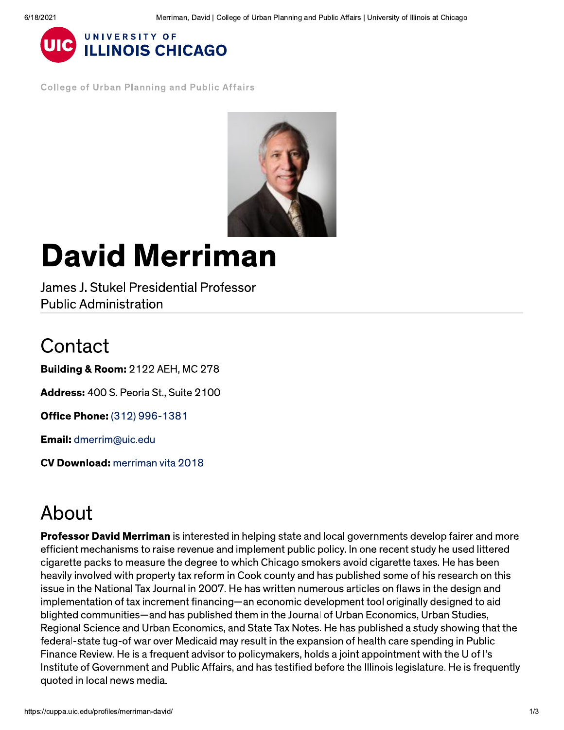

**College of Urban Planning and Public Affairs** 



# **David Merriman**

James J. Stukel Presidential Professor **Public Administration** 

#### Contact

**Building & Room: 2122 AEH, MC 278** 

Address: 400 S. Peoria St., Suite 2100

Office Phone: (312) 996-1381

**Email:** dmerrim@uic.edu

**CV Download:** merriman vita 2018

## About

**Professor David Merriman** is interested in helping state and local governments develop fairer and more efficient mechanisms to raise revenue and implement public policy. In one recent study he used littered cigarette packs to measure the degree to which Chicago smokers avoid cigarette taxes. He has been heavily involved with property tax reform in Cook county and has published some of his research on this issue in the National Tax Journal in 2007. He has written numerous articles on flaws in the design and implementation of tax increment financing—an economic development tool originally designed to aid blighted communities—and has published them in the Journal of Urban Economics, Urban Studies, Regional Science and Urban Economics, and State Tax Notes. He has published a study showing that the federal-state tug-of war over Medicaid may result in the expansion of health care spending in Public Finance Review. He is a frequent advisor to policymakers, holds a joint appointment with the U of I's Institute of Government and Public Affairs, and has testified before the Illinois legislature. He is frequently quoted in local news media.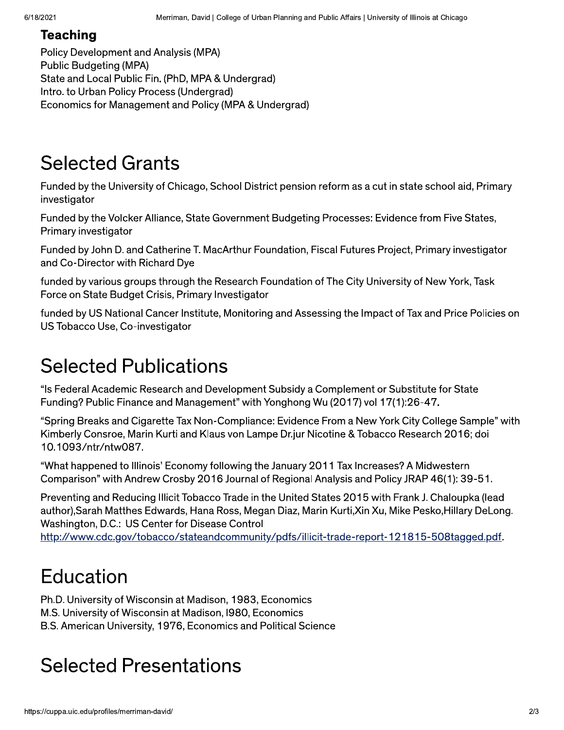#### **Teaching**

Policy Development and Analysis (MPA) Public Budgeting (MPA) State and Local Public Fin. (PhD, MPA & Undergrad) Intro. to Urban Policy Process (Undergrad) Economics for Management and Policy (MPA & Undergrad)

#### **Selected Grants**

Funded by the University of Chicago, School District pension reform as a cut in state school aid, Primary investigator

Funded by the Volcker Alliance, State Government Budgeting Processes: Evidence from Five States, Primary investigator

Funded by John D. and Catherine T. MacArthur Foundation, Fiscal Futures Project, Primary investigator and Co-Director with Richard Dye

funded by various groups through the Research Foundation of The City University of New York, Task Force on State Budget Crisis, Primary Investigator

funded by US National Cancer Institute, Monitoring and Assessing the Impact of Tax and Price Policies on US Tobacco Use, Co-investigator

## **Selected Publications**

"Is Federal Academic Research and Development Subsidy a Complement or Substitute for State Funding? Public Finance and Management" with Yonghong Wu (2017) vol 17(1):26-47.

"Spring Breaks and Cigarette Tax Non-Compliance: Evidence From a New York City College Sample" with Kimberly Consroe, Marin Kurti and Klaus von Lampe Dr.jur Nicotine & Tobacco Research 2016; doi 10.1093/ntr/ntw087.

"What happened to Illinois' Economy following the January 2011 Tax Increases? A Midwestern Comparison" with Andrew Crosby 2016 Journal of Regional Analysis and Policy JRAP 46(1): 39-51.

Preventing and Reducing Illicit Tobacco Trade in the United States 2015 with Frank J. Chaloupka (lead author), Sarah Matthes Edwards, Hana Ross, Megan Diaz, Marin Kurti, Xin Xu, Mike Pesko, Hillary DeLong. Washington, D.C.: US Center for Disease Control

http://www.cdc.gov/tobacco/stateandcommunity/pdfs/illicit-trade-report-121815-508tagged.pdf.

## Education

Ph.D. University of Wisconsin at Madison, 1983, Economics M.S. University of Wisconsin at Madison, 1980, Economics B.S. American University, 1976, Economics and Political Science

# cted Presentation<br><sub>:edu/profiles/merriman-david/</sub> Selected Presentations